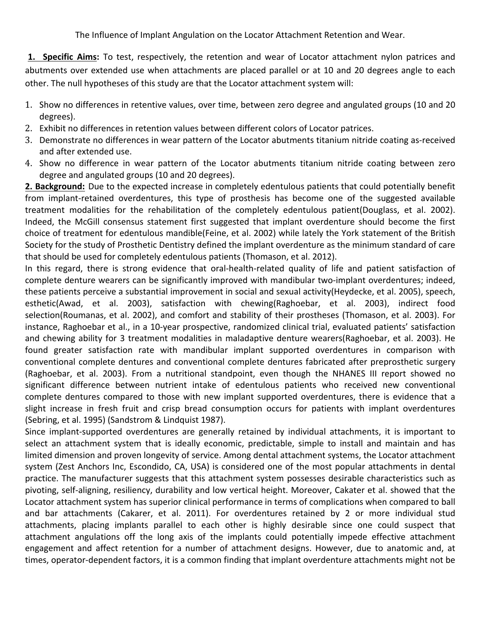**1. Specific Aims:** To test, respectively, the retention and wear of Locator attachment nylon patrices and abutments over extended use when attachments are placed parallel or at 10 and 20 degrees angle to each other. The null hypotheses of this study are that the Locator attachment system will:

- 1. Show no differences in retentive values, over time, between zero degree and angulated groups (10 and 20 degrees).
- 2. Exhibit no differences in retention values between different colors of Locator patrices.
- 3. Demonstrate no differences in wear pattern of the Locator abutments titanium nitride coating as-received and after extended use.
- 4. Show no difference in wear pattern of the Locator abutments titanium nitride coating between zero degree and angulated groups (10 and 20 degrees).

**2. Background:** Due to the expected increase in completely edentulous patients that could potentially benefit from implant-retained overdentures, this type of prosthesis has become one of the suggested available treatment modalities for the rehabilitation of the completely edentulous patient(Douglass, et al. 2002). Indeed, the McGill consensus statement first suggested that implant overdenture should become the first choice of treatment for edentulous mandible(Feine, et al. 2002) while lately the York statement of the British Society for the study of Prosthetic Dentistry defined the implant overdenture as the minimum standard of care that should be used for completely edentulous patients (Thomason, et al. 2012).

In this regard, there is strong evidence that oral-health-related quality of life and patient satisfaction of complete denture wearers can be significantly improved with mandibular two-implant overdentures; indeed, these patients perceive a substantial improvement in social and sexual activity(Heydecke, et al. 2005), speech, esthetic(Awad, et al. 2003), satisfaction with chewing(Raghoebar, et al. 2003), indirect food selection(Roumanas, et al. 2002), and comfort and stability of their prostheses (Thomason, et al. 2003). For instance, Raghoebar et al., in a 10-year prospective, randomized clinical trial, evaluated patients' satisfaction and chewing ability for 3 treatment modalities in maladaptive denture wearers(Raghoebar, et al. 2003). He found greater satisfaction rate with mandibular implant supported overdentures in comparison with conventional complete dentures and conventional complete dentures fabricated after preprosthetic surgery (Raghoebar, et al. 2003). From a nutritional standpoint, even though the NHANES III report showed no significant difference between nutrient intake of edentulous patients who received new conventional complete dentures compared to those with new implant supported overdentures, there is evidence that a slight increase in fresh fruit and crisp bread consumption occurs for patients with implant overdentures (Sebring, et al. 1995) (Sandstrom & Lindquist 1987).

Since implant-supported overdentures are generally retained by individual attachments, it is important to select an attachment system that is ideally economic, predictable, simple to install and maintain and has limited dimension and proven longevity of service. Among dental attachment systems, the Locator attachment system (Zest Anchors Inc, Escondido, CA, USA) is considered one of the most popular attachments in dental practice. The manufacturer suggests that this attachment system possesses desirable characteristics such as pivoting, self-aligning, resiliency, durability and low vertical height. Moreover, Cakater et al. showed that the Locator attachment system has superior clinical performance in terms of complications when compared to ball and bar attachments (Cakarer, et al. 2011). For overdentures retained by 2 or more individual stud attachments, placing implants parallel to each other is highly desirable since one could suspect that attachment angulations off the long axis of the implants could potentially impede effective attachment engagement and affect retention for a number of attachment designs. However, due to anatomic and, at times, operator-dependent factors, it is a common finding that implant overdenture attachments might not be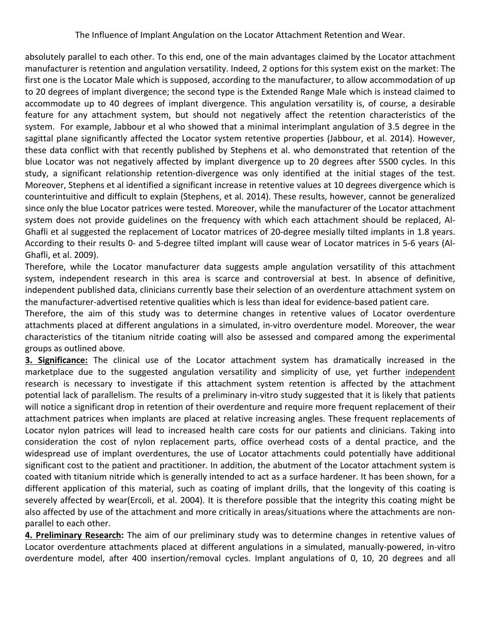absolutely parallel to each other. To this end, one of the main advantages claimed by the Locator attachment manufacturer is retention and angulation versatility. Indeed, 2 options for this system exist on the market: The first one is the Locator Male which is supposed, according to the manufacturer, to allow accommodation of up to 20 degrees of implant divergence; the second type is the Extended Range Male which is instead claimed to accommodate up to 40 degrees of implant divergence. This angulation versatility is, of course, a desirable feature for any attachment system, but should not negatively affect the retention characteristics of the system. For example, Jabbour et al who showed that a minimal interimplant angulation of 3.5 degree in the sagittal plane significantly affected the Locator system retentive properties (Jabbour, et al. 2014). However, these data conflict with that recently published by Stephens et al. who demonstrated that retention of the blue Locator was not negatively affected by implant divergence up to 20 degrees after 5500 cycles. In this study, a significant relationship retention-divergence was only identified at the initial stages of the test. Moreover, Stephens et al identified a significant increase in retentive values at 10 degrees divergence which is counterintuitive and difficult to explain (Stephens, et al. 2014). These results, however, cannot be generalized since only the blue Locator patrices were tested. Moreover, while the manufacturer of the Locator attachment system does not provide guidelines on the frequency with which each attachment should be replaced, Al-Ghafli et al suggested the replacement of Locator matrices of 20-degree mesially tilted implants in 1.8 years. According to their results 0- and 5-degree tilted implant will cause wear of Locator matrices in 5-6 years (Al-Ghafli, et al. 2009).

Therefore, while the Locator manufacturer data suggests ample angulation versatility of this attachment system, independent research in this area is scarce and controversial at best. In absence of definitive, independent published data, clinicians currently base their selection of an overdenture attachment system on the manufacturer-advertised retentive qualities which is less than ideal for evidence-based patient care.

Therefore, the aim of this study was to determine changes in retentive values of Locator overdenture attachments placed at different angulations in a simulated, in-vitro overdenture model. Moreover, the wear characteristics of the titanium nitride coating will also be assessed and compared among the experimental groups as outlined above.

**3. Significance:** The clinical use of the Locator attachment system has dramatically increased in the marketplace due to the suggested angulation versatility and simplicity of use, yet further independent research is necessary to investigate if this attachment system retention is affected by the attachment potential lack of parallelism. The results of a preliminary in-vitro study suggested that it is likely that patients will notice a significant drop in retention of their overdenture and require more frequent replacement of their attachment patrices when implants are placed at relative increasing angles. These frequent replacements of Locator nylon patrices will lead to increased health care costs for our patients and clinicians. Taking into consideration the cost of nylon replacement parts, office overhead costs of a dental practice, and the widespread use of implant overdentures, the use of Locator attachments could potentially have additional significant cost to the patient and practitioner. In addition, the abutment of the Locator attachment system is coated with titanium nitride which is generally intended to act as a surface hardener. It has been shown, for a different application of this material, such as coating of implant drills, that the longevity of this coating is severely affected by wear(Ercoli, et al. 2004). It is therefore possible that the integrity this coating might be also affected by use of the attachment and more critically in areas/situations where the attachments are nonparallel to each other.

**4. Preliminary Research:** The aim of our preliminary study was to determine changes in retentive values of Locator overdenture attachments placed at different angulations in a simulated, manually-powered, in-vitro overdenture model, after 400 insertion/removal cycles. Implant angulations of 0, 10, 20 degrees and all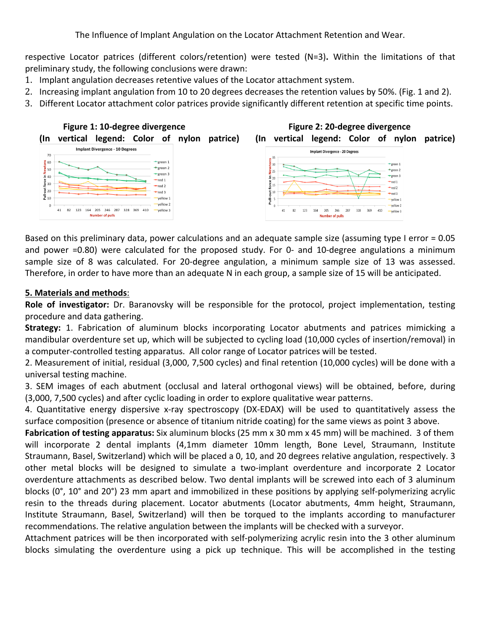respective Locator patrices (different colors/retention) were tested (N=3). Within the limitations of that preliminary study, the following conclusions were drawn:

- 1. Implant angulation decreases retentive values of the Locator attachment system.
- 2. Increasing implant angulation from 10 to 20 degrees decreases the retention values by 50%. (Fig. 1 and 2).
- 3. Different Locator attachment color patrices provide significantly different retention at specific time points.



Based on this preliminary data, power calculations and an adequate sample size (assuming type I error =  $0.05$ ) and power =0.80) were calculated for the proposed study. For 0- and 10-degree angulations a minimum sample size of 8 was calculated. For 20-degree angulation, a minimum sample size of 13 was assessed. Therefore, in order to have more than an adequate N in each group, a sample size of 15 will be anticipated.

## **5. Materials and methods**:

**Role of investigator:** Dr. Baranovsky will be responsible for the protocol, project implementation, testing procedure and data gathering.

**Strategy:** 1. Fabrication of aluminum blocks incorporating Locator abutments and patrices mimicking a mandibular overdenture set up, which will be subjected to cycling load (10,000 cycles of insertion/removal) in a computer-controlled testing apparatus. All color range of Locator patrices will be tested.

2. Measurement of initial, residual (3,000, 7,500 cycles) and final retention (10,000 cycles) will be done with a universal testing machine.

3. SEM images of each abutment (occlusal and lateral orthogonal views) will be obtained, before, during (3,000, 7,500 cycles) and after cyclic loading in order to explore qualitative wear patterns.

4. Quantitative energy dispersive x-ray spectroscopy (DX-EDAX) will be used to quantitatively assess the surface composition (presence or absence of titanium nitride coating) for the same views as point 3 above.

**Fabrication of testing apparatus:** Six aluminum blocks (25 mm x 30 mm x 45 mm) will be machined. 3 of them will incorporate 2 dental implants (4,1mm diameter 10mm length, Bone Level, Straumann, Institute Straumann, Basel, Switzerland) which will be placed a 0, 10, and 20 degrees relative angulation, respectively. 3 other metal blocks will be designed to simulate a two-implant overdenture and incorporate 2 Locator overdenture attachments as described below. Two dental implants will be screwed into each of 3 aluminum blocks (0°, 10° and 20°) 23 mm apart and immobilized in these positions by applying self-polymerizing acrylic resin to the threads during placement. Locator abutments (Locator abutments, 4mm height, Straumann, Institute Straumann, Basel, Switzerland) will then be torqued to the implants according to manufacturer recommendations. The relative angulation between the implants will be checked with a surveyor.

Attachment patrices will be then incorporated with self-polymerizing acrylic resin into the 3 other aluminum blocks simulating the overdenture using a pick up technique. This will be accomplished in the testing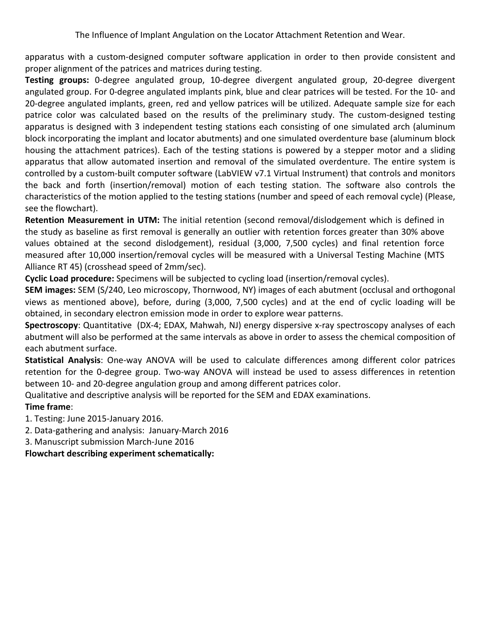apparatus with a custom-designed computer software application in order to then provide consistent and proper alignment of the patrices and matrices during testing.

Testing groups: 0-degree angulated group, 10-degree divergent angulated group, 20-degree divergent angulated group. For 0-degree angulated implants pink, blue and clear patrices will be tested. For the 10- and 20-degree angulated implants, green, red and yellow patrices will be utilized. Adequate sample size for each patrice color was calculated based on the results of the preliminary study. The custom-designed testing apparatus is designed with 3 independent testing stations each consisting of one simulated arch (aluminum block incorporating the implant and locator abutments) and one simulated overdenture base (aluminum block housing the attachment patrices). Each of the testing stations is powered by a stepper motor and a sliding apparatus that allow automated insertion and removal of the simulated overdenture. The entire system is controlled by a custom-built computer software (LabVIEW v7.1 Virtual Instrument) that controls and monitors the back and forth (insertion/removal) motion of each testing station. The software also controls the characteristics of the motion applied to the testing stations (number and speed of each removal cycle) (Please, see the flowchart).

**Retention Measurement in UTM:** The initial retention (second removal/dislodgement which is defined in the study as baseline as first removal is generally an outlier with retention forces greater than 30% above values obtained at the second dislodgement), residual (3,000, 7,500 cycles) and final retention force measured after 10,000 insertion/removal cycles will be measured with a Universal Testing Machine (MTS Alliance RT 45) (crosshead speed of 2mm/sec).

Cyclic Load procedure: Specimens will be subjected to cycling load (insertion/removal cycles).

**SEM images:** SEM (S/240, Leo microscopy, Thornwood, NY) images of each abutment (occlusal and orthogonal views as mentioned above), before, during (3,000, 7,500 cycles) and at the end of cyclic loading will be obtained, in secondary electron emission mode in order to explore wear patterns.

**Spectroscopy**: Quantitative (DX-4; EDAX, Mahwah, NJ) energy dispersive x-ray spectroscopy analyses of each abutment will also be performed at the same intervals as above in order to assess the chemical composition of each abutment surface.

**Statistical Analysis**: One-way ANOVA will be used to calculate differences among different color patrices retention for the 0-degree group. Two-way ANOVA will instead be used to assess differences in retention between 10- and 20-degree angulation group and among different patrices color.

Qualitative and descriptive analysis will be reported for the SEM and EDAX examinations.

## **Time frame:**

1. Testing: June 2015-January 2016.

2. Data-gathering and analysis: January-March 2016

3. Manuscript submission March-June 2016

**Flowchart describing experiment schematically:**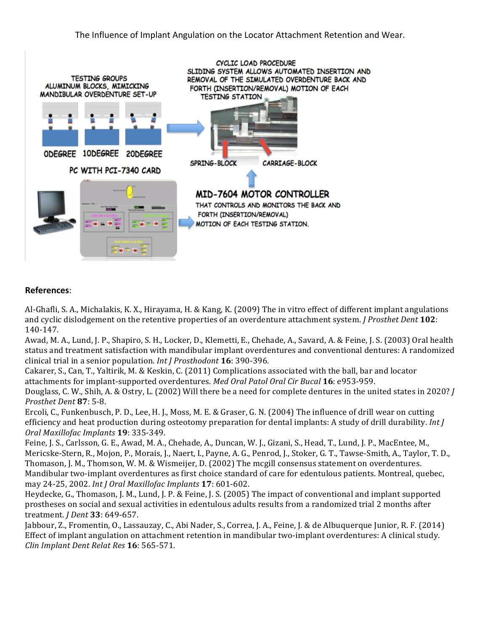

## **References**:

Al-Ghafli, S. A., Michalakis, K. X., Hirayama, H. & Kang, K. (2009) The in vitro effect of different implant angulations and cyclic dislodgement on the retentive properties of an overdenture attachment system. *J Prosthet Dent* 102: 140-147.

Awad, M. A., Lund, J. P., Shapiro, S. H., Locker, D., Klemetti, E., Chehade, A., Savard, A. & Feine, J. S. (2003) Oral health status and treatment satisfaction with mandibular implant overdentures and conventional dentures: A randomized clinical trial in a senior population. *Int J Prosthodont* **16**: 390-396.

Cakarer, S., Can, T., Yaltirik, M. & Keskin, C. (2011) Complications associated with the ball, bar and locator attachments for implant-supported overdentures. Med Oral Patol Oral Cir Bucal 16: e953-959.

Douglass, C. W., Shih, A. & Ostry, L. (2002) Will there be a need for complete dentures in the united states in 2020? *J Prosthet Dent* **87**: 5-8.

Ercoli, C., Funkenbusch, P. D., Lee, H. J., Moss, M. E. & Graser, G. N. (2004) The influence of drill wear on cutting efficiency and heat production during osteotomy preparation for dental implants: A study of drill durability. *Int J Oral Maxillofac Implants* **19**: 335-349.

Feine, J. S., Carlsson, G. E., Awad, M. A., Chehade, A., Duncan, W. J., Gizani, S., Head, T., Lund, J. P., MacEntee, M., Mericske-Stern, R., Mojon, P., Morais, J., Naert, I., Payne, A. G., Penrod, J., Stoker, G. T., Tawse-Smith, A., Taylor, T. D., Thomason, J. M., Thomson, W. M. & Wismeijer, D. (2002) The mcgill consensus statement on overdentures. Mandibular two-implant overdentures as first choice standard of care for edentulous patients. Montreal, quebec, may 24-25, 2002. *Int J Oral Maxillofac Implants* **17**: 601-602.

Heydecke, G., Thomason, J. M., Lund, J. P. & Feine, J. S. (2005) The impact of conventional and implant supported prostheses on social and sexual activities in edentulous adults results from a randomized trial 2 months after treatment. *J Dent* **33**: 649-657.

Jabbour, Z., Fromentin, O., Lassauzay, C., Abi Nader, S., Correa, J. A., Feine, J. & de Albuquerque Junior, R. F. (2014) Effect of implant angulation on attachment retention in mandibular two-implant overdentures: A clinical study. *Clin Implant Dent Relat Res* **16**: 565-571.